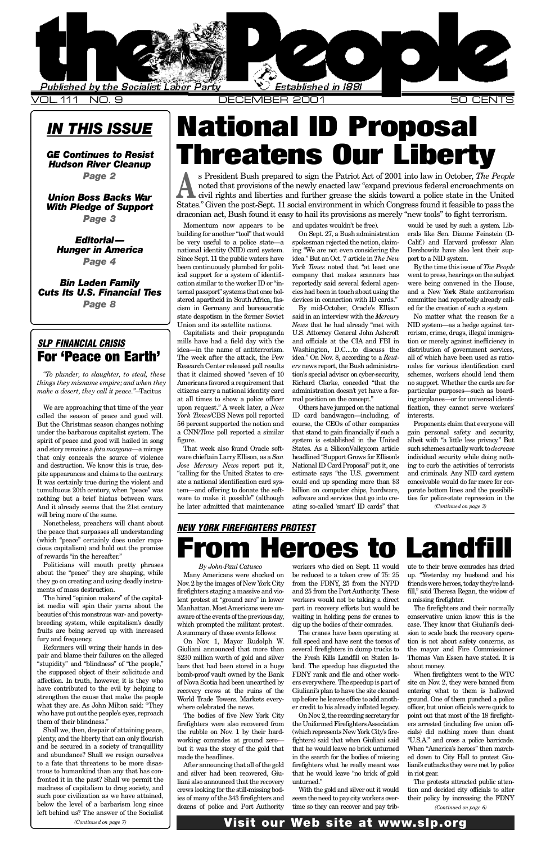*Page 8*

### <span id="page-0-0"></span>*SLP FINANCIAL CRISIS* For 'Peace on Earth'

*" To plunder, to slaughter, to steal, these things they misname empire; and when they make a desert, they call it peace.*"—Tacitus

We are approaching that time of the year called the season of peace and good will. But the Christmas season changes nothing under the barbarous capitalist system. The spirit of peace and good will hailed in song and story remains a *fata morgana*—a mirage t[hat only conceals the source of violence](#page-1-0) and destruction. We know this is true, despite appearances and claims to the contrary. It was certainly true during the violent and tumultuous 20th century, when "peace" was [nothing but a brief hiatus between wars.](#page-2-0) And it already seems that the 21st century will bring more of the same.

Nonetheless, preachers will chant about the peace that surpasses all understanding (which "peace" certainly does under rapa[cious capitalism\) and hold out the promise](#page-3-0) of rewards "in the hereafter. "

Politicians will mouth pretty phrases about the "peace" they are shaping, while they go on creating and using deadly instruments of mass destruction.

The hired "opinion makers" of the capital[ist media will spin their yarns about the](#page-7-0) beauties of this monstrous war- and povertybreeding system, while capitalism's deadly fruits are being served up with increased fury and frequency.

Reformers will wring their hands in despair and blame their failures on the alleged "stupidity" and "blindness" of "the people," the supposed object of their solicitude and affection. In truth, however, it is they who have contributed to the evil by helping to strengthen the cause that make the people what they are. As John Milton said: "They who have put out the people's eyes, reproach them of their blindness."

Shall we, then, despair of attaining peace, plenty, and the liberty that can only flourish and be secured in a society of tranquillity and abundance? Shall we resign ourselves to a fate that threatens to be more disastrous to humankind than any that has confronted it in the past? Shall we permit the madness of capitalism to drag society, and such poor civilization as we have attained, below the level of a barbarism long since left behind us? The answer of the Socialist

stered apartheid in South Africa, fascism in Germany and bureaucratic state despotism in the former Soviet Union and its satellite nations.

Capitalists and their propaganda mills have had a field day with the idea—in the name of antiterrorism. The week after the attack, the Pew Research Center released poll results that it claimed showed "seven of 10 Americans favored a requirement that citizens carry a national identity card at all times to show a police officer upon request." A week later, a *New* York Times/CBS News poll reported 56 percent supported the notion and a CNN/*Time* poll reported a similar figure.

That week also found Oracle software chieftain Larry Ellison, as a *San Jose Mercury News* report put it, "calling for the United States to create a national identification card system—and offering to donate the software to make it possible" (although he later admitted that maintenance devices in connection with ID cards."

By mid-October, Oracle's Ellison said in an interview with the *Mercury News* that he had already "met with U.S. Attorney General John Ashcroft and officials at the CIA and FBI in Washington, D.C....to discuss the idea." On Nov. 8, according to a *Reut* $ers$  news report, the Bush administration's special advisor on cyber-security, Richard Clarke, conceded "that the administration doesn't yet have a formal position on the concept."

Others have jumped on the national ID card bandwagon—including, of course, the CEOs of other companies that stand to gain financially if such a system is established in the United States. As a SiliconValley.com article headlined "Support Grows for Ellison's National ID Card Proposal" put it, one estimate says "the U.S. government could end up spending more than \$3 billion on computer chips, hardware, software and services that go into creating so-called 'smart' ID cards" that

comm ed for  $\rm No$  $\rm NID$ roris tion or distr. all of nales scher no su

parti ing a ficati inter Pro

gain albeit such indiv ing t and c conce porat ties f

### *NEW YORK FIREFIGHTERS PROTEST* From Heroes to

*By John-Paul Catusco*

Many Americans were shocked on Nov. 2 by the images of New York City firefighters staging a massive and violent protest at "ground zero" in lower Manhattan. Most Americans were unaware of the events of the previous day, which prompted the militant protest. A summary of those events follows:

On Nov. 1, Mayor Rudolph W. Giuliani announced that more than \$230 million worth of gold and silver bars that had been stored in a huge bomb-proof vault owned by the Bank of Nova Scotia had been unearthed by recovery crews at the ruins of the World Trade Towers. Markets everywhere celebrated the news.

The bodies of five New York City firefighters were also recovered from the rubble on Nov. 1 by their hardworking comrades at ground zero but it was the story of the gold that made the headlines.

After announcing that all of the gold and silver had been recovered, Giuliani also announced that the recovery crews looking for the still**-**missing bodies of many of the 343 firefighters and dozens of police and Port Authority

workers who died on Sept. 11 would be reduced to a token crew of 75: 25 from the FDNY, 25 from the NYPD and 25 from the Port Authority. These workers would not be taking a direct part in recovery efforts but would be waiting in holding pens for cranes to dig up the bodies of their comrades.

The cranes have been operating at full speed and have sent the torsos of several firefighters in dump trucks to the Fresh Kills Landfill on Staten Island. The speedup has disgusted the FDNY rank and file and other workers everywhere. The speedup is part of Giuliani's plan to have the site cleaned up before he leaves office to add another credit to his already inflated legacy.

On Nov. 2, the recording secretary for the Uniformed Firefighters Association (which represents New York City's firefighters) said that when Giuliani said that he would leave no brick unturned in the search for the bodies of missing firefighters what he really meant was that he would leave "no brick of gold unturned."

With the gold and silver out it would seem the need to pay city workers overtime so they can recover and pay tribute t  $up.$ " frien fill," $s$ a mis  $\rm Th$ 

conservative units on the units of the units of the units of the units of the units of the units of the units of the units of the units of the units of the units of the units of the units of the units of the units of the un case. sion to scale back the recovery operation  $the$ Thor abou

Wh site o enter groun office point ers a cials) "U.S. When ed do liani's in rio  $\rm Th$ 

tion a their

*(Continued on page 7)*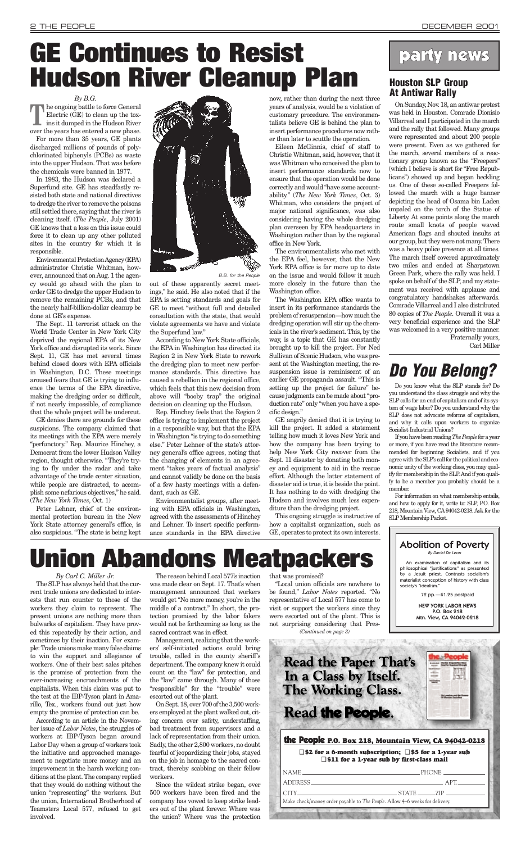workers they claim to represent. The present unions are nothing more than bulwarks of capitalism. They have proved this repeatedly by their action, and sometimes by their inaction. For example: Trade unions make many false claims to win the support and allegiance of workers. One of their best sales pitches is the promise of protection from the ever-increasing encroachments of the capitalists. When this claim was put to the test at the IBP-Tyson plant in Amarillo, Tex., workers found out just how empty the promise of protection can be.

*By Carl C. Miller Jr.* The SLP has always held that the current trade unions are dedicated to interests that run counter to those of the would get "No more money, you're in the

According to an article in the November issue of *Labor Notes*, the struggles of workers at IBP-Tyson began around Labor Day when a group of workers took the initiative and approached management to negotiate more money and an improvement in the harsh working conditions at the plant. The company replied that they would do nothing without the union "representing" the workers. But the union, International Brotherhood of Teamsters Local 577, refused to get involved.

The reason behind Local 577's inaction was made clear on Sept. 17. That's when management announced that workers

middle of a contract." In short, the protection promised by the labor fakers would not be forthcoming as long as the sacred contract was in effect.

Management, realizing that the workers' self-initiated actions could bring trouble, called in the county sheriff's department. The company knew it could count on the "law" for protection, and the "law" came through. Many of those "responsible" for the "trouble" were escorted out of the plant.

On Sept. 18, over 700 of the 3,500 workers employed at the plant walked out, citing concern over safety, understaffing, bad treatment from supervisors and a lack of representation from their union. Sadly, the other 2,800 workers, no doubt fearful of jeopardizing their jobs, stayed on the job in homage to the sacred contract, thereby scabbing on their fellow workers.

Since the wildcat strike began, over 500 workers have been fired and the company has vowed to keep strike leaders out of the plant forever. Where was the union? Where was the protection that was promised?

#### *By B.G.*

**T**he ongoing battle to force General Electric (GE) to clean up the toxins it dumped in the Hudson River over the years has entered a new phase.

For more than 35 years, GE plants discharged millions of pounds of polychlorinated biphenyls (PCBs) as waste into the upper Hudson. That was before the chemicals were banned in 1977.

In 1983, the Hudson was declared a Superfund site. GE has steadfastly resisted both state and national directives to dredge the river to remove the poisons still settled there, saying that the river is cleaning itself. (*The People*, July 2001) GE knows that a loss on this issue could force it to clean up any other polluted sites in the country for which it is responsible.

Environmental Protection Agency (EPA) administrator Christie Whitman, however, announced that on Aug. 1 the agency would go ahead with the plan to order GE to dredge the upper Hudson to remove the remaining PCBs, and that the nearly half-billion-dollar cleanup be done at GE's expense.

The Sept. 11 terrorist attack on the World Trade Center in New York City deprived the regional EPA of its New York office and disrupted its work. Since Sept. 11, GE has met several times behind closed doors with EPA officials in Washington, D.C. These meetings aroused fears that GE is trying to influence the terms of the EPA directive, making the dredging order so difficult, if not nearly impossible, of compliance that the whole project will be undercut.

GE denies there are grounds for these suspicions. The company claimed that its meetings with the EPA were merely "perfunctory." Rep. Maurice Hinchey, a Democrat from the lower Hudson Valley region, thought otherwise. "They're trying to fly under the radar and take advantage of the trade center situation, while people are distracted, to accomplish some nefarious objectives," he said. (*The New York Times*, Oct. 1)

Peter Lehner, chief of the environmental protection bureau in the New York State attorney general's office, is also suspicious. "The state is being kept 9

out of these apparently secret meetings," he said. He also noted that if the EPA is setting standards and goals for GE to meet "without full and detailed consultation with the state, that would violate agreements we have and violate the Superfund law."

According to New York State officials, the EPA in Washington has directed its Region 2 in New York State to rework the dredging plan to meet new performance standards. This directive has caused a rebellion in the regional office, which feels that this new decision from above will "booby trap" the original decision on cleaning up the Hudson.

Rep. Hinchey feels that the Region 2 office is trying to implement the project in a responsible way, but that the EPA in Washington "is trying to do something else." Peter Lehner of the state's attorney general's office agrees, noting that the changing of elements in an agreement "takes years of factual analysis" and cannot validly be done on the basis of a few hasty meetings with a defendant, such as GE.

Environmentalist groups, after meeting with EPA officials in Washington, agreed with the assessments of Hinchey and Lehner. To insert specific performance standards in the EPA directive now, rather than during the next three years of analysis, would be a violation of customary procedure. The environmentalists believe GE is behind the plan to insert performance procedures now rather than later to scuttle the operation.

Eileen McGinnis, chief of staff to Christie Whitman, said, however, that it was Whitman who conceived the plan to insert performance standards now to ensure that the operation would be done correctly and would "have some accountability." (*The New York Times*, Oct. 3) Whitman, who considers the project of major national significance, was also considering having the whole dredging plan overseen by EPA headquarters in Washington rather than by the regional office in New York.

"Local union officials are nowhere to be found," *Labor Notes* reported. "No representative of Local 577 has come to visit or support the workers since they were escorted out of the plant. This is not surprising considering that Pres-*(Continued on page 3)*

The environmentalists who met with the EPA feel, however, that the New York EPA office is far more up to date on the issue and would follow it much more closely in the future than the Washington office.

The Washington EPA office wants to insert in its performance standards the problem of resuspension—how much the dredging operation will stir up the chemicals in the river's sediment. This, by the way, is a topic that GE has constantly brought up to kill the project. For Ned Sullivan of Scenic Hudson, who was present at the Washington meeting, the resuspension issue is reminiscent of an earlier GE propaganda assault. "This is setting up the project for failure" because judgments can be made about "production rate" only "when you have a specific design."

GE angrily denied that it is trying to kill the project. It added a statement telling how much it loves New York and how the company has been trying to help New York City recover from the Sept. 11 disaster by donating both money and equipment to aid in the rescue effort. Although the latter statement of disaster aid is true, it is beside the point. It has nothing to do with dredging the Hudson and involves much less expenditure than the dredging project.

This ongoing struggle is instructive of how a capitalist organization, such as GE, operates to protect its own interests.

# <span id="page-1-0"></span>**GE Continues to Resist Hudson River Cleanup Plan**

On Sunday, Nov. 18, an antiwar protest was held in Houston. Comrade Dionisio Villarreal and I participated in the march and the rally that followed. Many groups were represented and about 200 people were present. Even as we gathered for the march, several members of a reactionary group known as the "Freepers" (which I believe is short for "Free Republicans") showed up and began heckling us. One of these so-called Freepers followed the march with a huge banner depicting the head of Osama bin Laden impaled on the torch of the Statue of Liberty. At some points along the march route small knots of people waved American flags and shouted insults at our group, but they were not many. There was a heavy police presence at all times. The march itself covered approximately two miles and ended at Sharpstown Green Park, where the rally was held. I spoke on behalf of the SLP, and my statement was received with applause and congratulatory handshakes afterwards. Comrade Villarreal and I also distributed 80 copies of *The People*. Overall it was a very beneficial experience and the SLP was welcomed in a very positive manner. Fraternally yours, Carl Miller

### **Do You Belong?**

Do you know what the SLP stands for? Do you understand the class struggle and why the SLP calls for an end of capitalism and of its system of wage labor? Do you understand why the SLP does not advocate reforms of capitalism, and why it calls upon workers to organize Socialist Industrial Unions?

If you have been reading *The People* for a year or more, if you have read the literature recommended for beginning Socialists, and if you agree with the SLP's call for the political and economic unity of the working class, you may qualify for membership in the SLP. And if you qualify to be a member you probably should be a member.

For information on what membership entails, and how to apply for it, write to: SLP, P.O. Box 218, Mountain View, CA94042-0218. Ask for the SLP Membership Packet.

#### the People **P.O. Box 218, Mountain View, CA 94042-0218**

❑ **\$2 for a 6-month subscription;** ❑ **\$5 for a 1-year sub** ❑ **\$11 for a 1-year sub by first-class mail**

| Make check/money order payable to The People. Allow 4–6 weeks for delivery. |  |  |
|-----------------------------------------------------------------------------|--|--|
|                                                                             |  |  |

### party news

#### Abolition of Poverty By Daniel De Leon

An examination of capitalism and its philosophical "justifications" as presented by a Jesuit priest. Contrasts socialism's materialist conception of history with class society's "idealism."

72 pp.—\$1.25 postpaid



**Read the Paper That's** In a Class by Itself. **The Working Class.** 

Read the People.

B.B. for the People

# **Union Abandons Meatpackers**

### **Houston SLP Group At Antiwar Rally**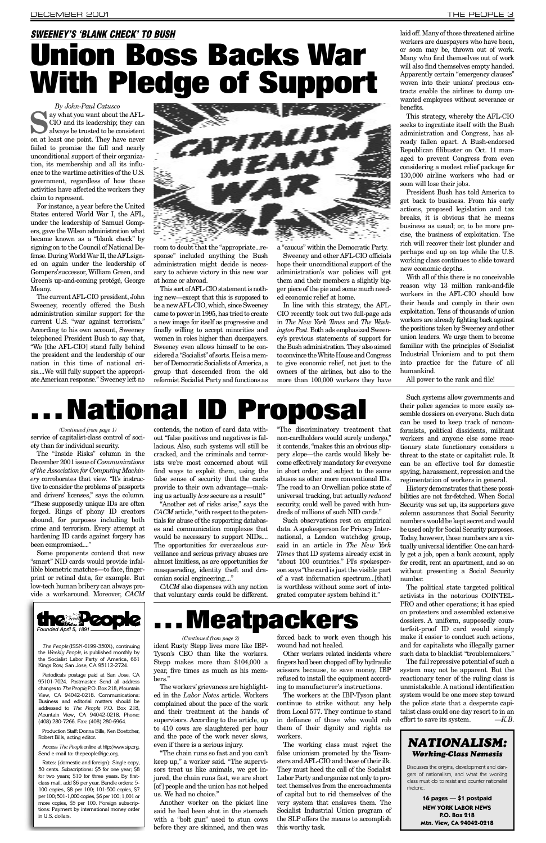<span id="page-2-0"></span>The current AFL-CIO president, John Sweeney, recently offered the Bush administration similar support for the current U.S. "war against terrorism." According to his own account, Sweeney telephoned President Bush to say that, " We [the AFL-CIO] stand fully behind the president and the leadership of our nation in this time of national crisis....We will fully support the appropriate American response." Sweeney left no ing new—except that this is supposed to be a new AFL-CIO, which, since Sweeney [came to power in 1995, has tried to create](#page-0-0) a new image for itself as progressive and finally willing to accept minorities and women in roles higher than duespayers. Sweeney even allows himself to be considered a "Socialist" of sorts. He is a member of Democratic Socialists of America, a group that descended from the old reformist Socialist Party and functions as

eu economic relief at home.

In line with this strategy, the AFL-CIO recently took out two full-page ads in *The New York Times* and *The Washington Post*. Both ads emphasized Sweeney's previous statements of support for the Bush administration. They also aimed to convince the White House and Congress to give economic relief, not just to the owners of the airlines, but also to the more than 100,000 workers they have

their h exploita workers the posit union le familiar **Industr** into pr human All po

## National ID Proposal

service of capitalist-class control of society than for individual security. *(Continued from page 1)*

The "Inside Risks" column in the December 2001 issue of *Communications of the Association for Computing Machin*ery corroborates that view. "It's instructive to consider the problems of passports and drivers' licenses," says the column. "These supposedly unique IDs are often forged. Rings of phony ID creators abound, for purposes including both crime and terrorism. Every attempt at hardening ID cards against forgery has been compromised...."

Some proponents contend that new "smart" NID cards would provide infallible biometric matches—to face, fingerprint or retinal data, for example. But low-tech human bribery can always provide a workaround. Moreover, CACM



*The People* (ISSN-0199-350X), continuing the *Weekly People*, is published monthly by the Socialist Labor Party of America, 661 Kings Row, San Jose, CA 95112-2724.

Periodicals postage paid at San Jose, CA 95101-7024. Postmaster: Send all address changes to *The People*, P.O. Box 218, Mountain View, CA 94042-0218. Communications: Business and editorial matters should be addressed to *The People*, P.O. Box 218, Mountain View, CA 94042-0218. Phone: (408) 280-7266. Fax: (408) 280-6964.

Production Staff: Donna Bills, Ken Boettcher, Robert Bills, acting editor.

Access The People online at http://www.slp.org. Send e-mail to: thepeople@igc.org.

Rates: (domestic and foreign): Single copy, 50 cents. Subscriptions: \$5 for one year; \$8 for two years; \$10 for three years. By firstclass mail, add \$6 per year. Bundle orders: 5- 100 copies, \$8 per 100; 101-500 copies, \$7 per 100; 501-1,000 copies, \$6 per 100; 1,001 or more copies, \$5 per 100. Foreign subscriptions: Payment by international money order in U.S. dollars.

contends, the notion of card data without "false positives and negatives is fallacious. Also, such systems will still be cracked, and the criminals and terrorists we're most concerned about will find ways to exploit them, using the false sense of security that the cards provide to their own advantage—making us actually *less* secure as a result!"

"Another set of risks arise," says the *CACM* article, "with respect to the potentials for abuse of the supporting databases and communication complexes that would be necessary to support NIDs.... The opportunities for overzealous surveillance and serious privacy abuses are almost limitless, as are opportunities for masquerading, identity theft and draconian social engineering...."

*CACM* also dispenses with any notion that voluntary cards could be different.

"The discriminatory treatment that non-cardholders would surely undergo," it contends, "makes this an obvious slippery slope—the cards would likely become effectively mandatory for everyone in short order, and subject to the same abuses as other more conventional IDs. The road to an Orwellian police state of universal tracking, but actually *reduced* security, could well be paved with hundreds of millions of such NID cards."

Such observations rest on empirical data. A spokesperson for Privacy International, a London watchdog group, said in an article in *The New York Times* that ID systems already exist in "about 100 countries." PI's spokesperson says "the card is just the visible part of a vast information spectrum...[that] is worthless without some sort of integrated computer system behind it."

## **Meatpackers**

ident Rusty Stepp lives more like IBP-Tyson's CEO than like the workers. Stepp makes more than \$104,000 a year, five times as much as his members." *(Continued from page 2)*

The workers'grievances are highlighted in the *Labor Notes* article. Workers complained about the pace of the work and their treatment at the hands of supervisors. According to the article, up to 410 cows are slaughtered per hour and the pace of the work never slows, even if there is a serious injury.

"The chain runs so fast and you can't keep up," a worker said. "The supervisors treat us like animals, we get injured, the chain runs fast, we are short [of] people and the union has not helped us. We had no choice."

Another worker on the picket line said he had been shot in the stomach with a "bolt gun" used to stun cows before they are skinned, and then was

forced back to work even though his wound had not healed.

Other workers related incidents where fingers had been chopped off by hydraulic scissors because, to save money, IBP refused to install the equipment according to manufacturer's instructions.

The workers at the IBP-Tyson plant continue to strike without any help from Local 577. They continue to stand in defiance of those who would rob them of their dignity and rights as workers.

The working class must reject the false unionism promoted by the Teamsters and AFL-CIO and those of their ilk. They must heed the call of the Socialist Labor Party and organize not only to protect themselves from the encroachments of capital but to rid themselves of the very system that enslaves them. The Socialist Industrial Union program of the SLP offers the means to accomplish this worthy task.

Such their po semble can be formist worker tionary threat t can be spying, regimen

Histo bilities Security solemn number be used Today, h tually u ly get a for cred without number The political state that the political state that the political state that the political state that the political state that the political state that the political state that the political state that the political state th

activist PRO and other operations; it is not only that on prot dossier terfeitmake it and for such da

The f system reaction unmist system the poli talist cl effort to



Discus gers c class r rhetori<sub></sub>

**Mtn. View, CA 94042-0218**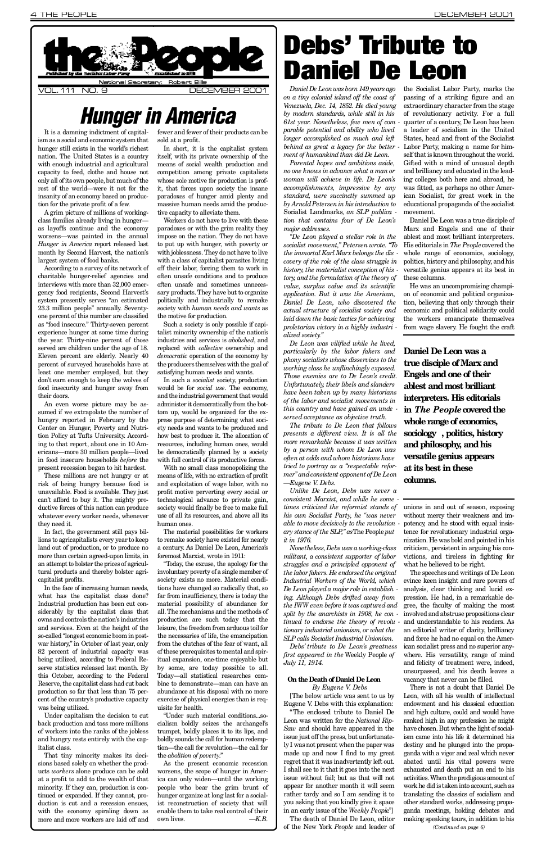<span id="page-3-0"></span>system presently serves "an estimated 23.3 million people" annually. Seventyone percent of this number are classified as "food insecure." Thirty-seven percent experience hunger at some time during the year. Thirty-nine percent of those served are children under the age of 18. Eleven percent are elderly. Nearly 40 percent of surveyed households have at least one member employed, but they don't earn enough to keep the wolves of food insecurity and hunger away from their doors.

An even worse picture may be assumed if we extrapolate the number of hungry reported in February by the Center on Hunger, Poverty and Nutrition Policy at Tufts University. According to that report, about one in 10 Americans—more 30 million people—lived in food insecure households *before* the present recession began to hit hardest.

These millions are not hungry or at risk of being hungry because food is unavailable. Food is available. They just can't afford to buy it. The mighty productive forces of this nation can produce whatever every worker needs, whenever they need it.

In fact, the government still pays billions to agricapitalists every year to keep land out of production, or to produce no more than certain agreed-upon limits, in an attempt to bolster the prices of agricultural products and thereby bolster agricapitalist profits.

In the face of increasing human needs, what has the capitalist class done? Industrial production has been cut considerably by the capitalist class that owns and controls the nation's industries and services. Even at the height of the so-called "longest economic boom in postwar history," in October of last year, only 82 percent of industrial capacity was being utilized, according to Federal Reserve statistics released last month. By this October, according to the Federal Reserve, the capitalist class had cut back production so far that less than 75 percent of the country's productive capacity was being utilized.

Under capitalism the decision to cut back production and toss more millions of workers into the ranks of the jobless and hungry rests entirely with the capitalist class.

That tiny minority makes its decisions based solely on whether the products *workers* alone produce can be sold at a profit to add to the wealth of that minority. If they can, production is continued or expanded. If they cannot, production is cut and a recession ensues, with the economy spiraling down as more and more workers are laid off and politically and industrially to remake society with *human needs and wants* as the motive for production.

Such a society is only possible if capitalist minority ownership of the nation's industries and services is *abolished*, and replaced with *collective* ownership and *democratic* operation of the economy by the producers themselves with the goal of satisfying human needs and wants.

In such a *socialist* society, production would be for *social use*. The economy, and the industrial government that would administer it democratically from the bottom up, would be organized for the express purpose of determining what society needs and wants to be produced and how best to produce it. The allocation of resources, including human ones, would be democratically planned by a society with full control of its productive forces.

With no small class monopolizing the means of life, with no extraction of profit and exploitation of wage labor, with no profit motive perverting every social or technological advance to private gain, society would finally be free to make full use of all its resources, and above all its human ones.

The material possibilities for workers to remake society have existed for nearly a century. As Daniel De Leon, America's foremost Marxist, wrote in 1911 :

"Today, the excuse, the apology for the involuntary poverty of a single member of society exists no more. Material conditions have changed so radically that, so far from insufficiency, there is today the material possibility of abundance for all. The mechanisms and the methods of production are such today that the leisure, the freedom from arduous toil for the necessaries of life, the emancipation from the clutches of the fear of want, all of these prerequisites to mental and spiritual expansion, one-time enjoyable but by some, are today possible to all. Today—all statistical researches combine to demonstrate—man can have an abundance at his disposal with no more exercise of physical energies than is requisite for health.

"Under such material conditions...socialism boldly seizes the archangel's trumpet, boldly places it to its lips, and boldly sounds the call for human redemption—the call for revolution—the call for the *abolition of poverty*. "

As the present economic recession worsens, the scope of hunger in America can only widen—until the working people who bear the grim brunt of hunger organize at long last for a socialist reconstruction of society that will enable them to take real control of their own lives. — K.B.

*Daniel De Leon, who discovered the [actual structure of socialist society and](#page-0-0) laid down the basic tactics for achieving proletarian victory in a highly industri alized society. "*

*application. But it was the American,*

*De Leon was vilified while he lived, particularly by the labor fakers and phony socialists whose disservices to the working class he unflinchingly exposed. Those enemies are to De Leon's credit. Unfortunately, their libels and slanders have been taken up by many historians of the labor and socialist movements in this country and have gained an unde served acceptance as objective truth.*

*The tribute to De Leon that follows presents a different view. It is all the more remarkable because it was written by a person with whom De Leon was often at odds and whom historians have tried to portray as a "respectable reformer" and consistent opponent of De Leon —Eugene V. Debs.*

*Unlike De Leon, Debs was never a*  $consistent$  *Marxist, and while he some times criticized the reformist stands of his own Socialist Party, he "was never able to move decisively to the revolution ary stance of the SLP*," *as* The People *put it in 1976.*

*Nonetheless, Debs was a working-class militant, a consistent supporter of labor struggles and a principled opponent of the labor fakers. He endorsed the original Industrial Workers of the World, which De Leon played a major role in establish ing. Although Debs drifted away from the IWW even before it was captured and split by the anarchists in 1908, he con tinued to endorse the theory of revolu tionary industrial unionism, or what the S L P calls Socialist Industrial Unionism.*

*D e b s ' tribute to De Leon's greatness first appeared in the* Weekly People of *July 11, 1914.*

#### **On the Death of Daniel De Leon**

*By Eugene V. Debs*  [The below article was sent to us by Eugene V. Debs with this explanation:

"The enclosed tribute to Daniel De Leon was written for the *National Rip-Saw* and should have appeared in the issue just off the press, but unfortunately I was not present when the paper was made up and now I find to my great regret that it was inadvertently left out. I shall see to it that it goes into the next issue without fail; but as that will not appear for another month it will seem rather tardy and so I am sending it to you asking that you kindly give it space in an early issue of the *Weekly People*"

The death of Daniel De Leon, editor of the New York People and leader of tion, b econor the w from v

Dani **true Enge ables inter**  $\mathbf{i}$ **n**  $\mathbf{T}$ **whole range of economics,**  $soci<sub>o</sub>$ **and versa at its colur** 

unions withou potenc tence f nization. criticis viction

what l  $\mathrm{The}\phantom{a}$ evince analys pressio gree, t involved and abstruct propositions are also as a set of the abstract propositions and absorption contained a set of the absorption of the absorption of the absorption contained and absorption contained a set of the absorpt and understand to the search. an edi and for ican so where. and fe unsurp vacano

Thei Leon, endow and hi ranked rank have ch ism ca destiny ganda abated exhaus activiti work h translating the classics of the contractor other s ganda making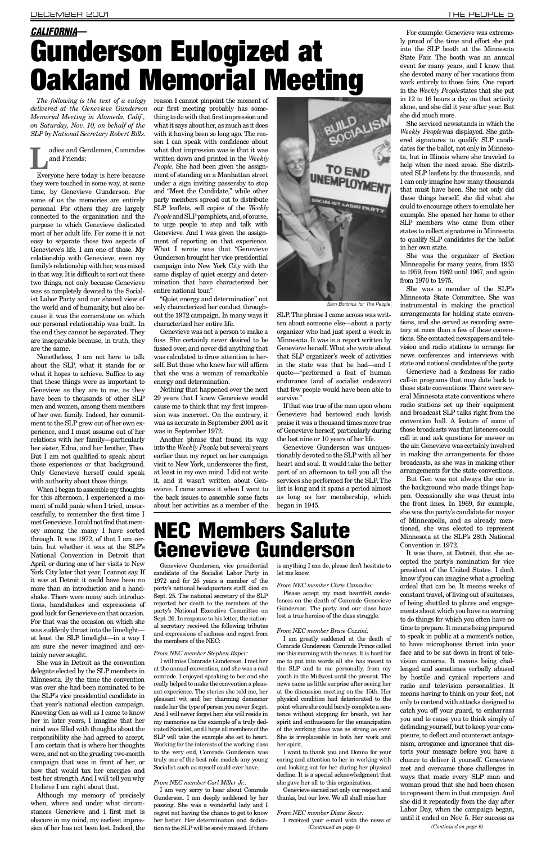*The following is the text of a eulogy* reason I cannot pinpoint the moment of our first meeting probably has something to do with that first impression and what it says about her, as much as it does with it having been so long ago. The reason I can speak with confidence about what that impression was is that it was written down and printed in the *Weekly People*. She had been given the assignment of standing on a Manhattan street under a sign inviting passersby to stop and "Meet the Candidate," while other party members spread out to distribute SLP leaflets, sell copies of the *Weekly People* and SLP pamphlets, and, of course, to urge people to stop and talk with Genevieve. And I was given the assignment of reporting on that experience. What I wrote was that "Genevieve Gunderson brought her vice presidential campaign into New York City with the same display of quiet energy and determination that have characterized her entire national tour."

*delivered at the Genevieve Gunderson Memorial Meeting in Alameda, Calif., on Saturday, Nov. 10, on behalf of the S L P by National Secretary Robert Bills.*

> adies and Gentlemen, Comrades and Friends:

**L** Everyone here today is here because they were touched in some way, at some time, by Genevieve Gunderson. For some of us the memories are entirely personal. For others they are largely connected to the organization and the purpose to which Genevieve dedicated most of her adult life. For some it is not easy to separate those two aspects of Genevieve's life. I am one of those. My relationship with Genevieve, even my family's relationship with her, was mixed in that way. It is difficult to sort out these two things, not only because Genevieve was so completely devoted to the Socialist Labor Party and our shared view of the world and of humanity, but also because it was the cornerstone on which our personal relationship was built. In the end they cannot be separated. They are inseparable because, in truth, they are the same.

Nonetheless, I am not here to talk about the SLP, what it stands for or what it hopes to achieve. Suffice to say that these things were as important to Genevieve as they are to me, as they have been to thousands of other SLP men and women, among them members of her own family. Indeed, her commitment to the SLP grew out of her own experience, and I must assume out of her relations with her family—particularly her sister, Edna, and her brother, Theo. But I am not qualified to speak about those experiences or that background. Only Genevieve herself could speak with authority about those things.

When I began to assemble my thoughts for this afternoon, I experienced a moment of mild panic when I tried, unsuccessfully, to remember the first time I met Genevieve. I could not find that memory among the many I have sorted through. It was 1972, of that I am certain, but whether it was at the SLP's National Convention in Detroit that April, or during one of her visits to New York City later that year, I cannot say. If it was at Detroit it could have been no more than an introduction and a handshake. There were many such introductions, handshakes and expressions of good luck for Genevieve on that occasion. For that was the occasion on which she was suddenly thrust into the limelight at least the SLP limelight—in a way I am sure she never imagined and certainly never sought. She was in Detroit as the convention delegate elected by the SLP members in Minnesota. By the time the convention was over she had been nominated to be the SLP's vice presidential candidate in that year's national election campaign. Knowing Gen as well as I came to know her in later years, I imagine that her mind was filled with thoughts about the responsibility she had agreed to accept. I am certain that is where her thoughts were, and not on the grueling two-month campaign that was in front of her, or how that would tax her energies and test her strength. And I will tell you why I believe I am right about that.

Although my memory of precisely when, where and under what circumstances Genevieve and I first met is obscure in my mind, my earliest impression of her has not been lost. Indeed, the

"Quiet energy and determination" not only characterized her conduct throughout the 1972 campaign. In many ways it characterized her entire life.

Genevieve was not a person to make a fuss. She certainly never desired to be fussed over, and never did anything that was calculated to draw attention to herself. But those who knew her will affirm that she was a woman of remarkable energy and determination.

Nothing that happened over the next 29 years that I knew Genevieve would cause me to think that my first impression was incorrect. On the contrary, it was as accurate in September 2001 as it was in September 1972.

Another phrase that found its way into the *Weekly People*, but several years earlier than my report on her campaign visit to New York, underscores the first, at least in my own mind. I did not write it, and it wasn't written about Genevieve. I came across it when I went to the back issues to assemble some facts about her activities as a member of the

If that was true of the man upon whom Genevieve had bestowed such lavish praise it was a thousand times more true of Genevieve herself, particularly during the last nine or 10 years of her life.

Genevieve Gunderson was unquestionably devoted to the SLP with all her heart and soul. It would take the better part of an afternoon to tell you all the services she performed for the SLP. The list is long and it spans a period almost as long as her membership, which began in 1945.

### **NEC Members Salute** Genevieve Gunderson

For example: Genevieve was extremely proud of the time and effort she put into the SLP booth at the Minnesota State Fair. The booth was an annual event for many years, and I know that she devoted many of her vacations from work entirely to those fairs. One report in the *Weekly People*states that she put in 12 to 16 hours a day on that activity alone, and she did it year after year. But she did much more.

She serviced newsstands in which the *Weekly People*was displayed. She gathered signatures to qualify SLP candidates for the ballot, not only in Minnesota, but in Illinois where she traveled to help when the need arose. She distributed SLP leaflets by the thousands, and I can only imagine how many thousands that must have been. She not only did these things herself, she did what she could to encourage others to emulate her example. She opened her home to other SLP members who came from other states to collect signatures in Minnesota to qualify SLP candidates for the ballot in her own state.

She was the organizer of Section Minneapolis for many years, from 1953 to 1959, from 1962 until 1967, and again from 1970 to 1975.

She was a member of the SLP's Minnesota State Committee. She was instrumental in making the practical arrangements for holding state conventions, and she served as recording secretary at more than a few of those conventions. She contacted newspapers and television and radio stations to arrange for news conferences and interviews with state and national candidates of the party.

Genevieve had a fondness for radio call-in programs that may date back to those state conventions. There were several Minnesota state conventions where radio stations set up their equipment and broadcast SLP talks right from the convention hall. A feature of some of those broadcasts was that listeners could call in and ask questions for answer on the air. Genevieve was certainly involved in making the arrangements for those broadcasts, as she was in making other arrangements for the state conventions.

But Gen was not always the one in the background who made things happen. Occasionally she was thrust into the front lines. In 1969, for example, she was the party's candidate for mayor of Minneapolis, and as already mentioned, she was elected to represent Minnesota at the SLP's 28th National Convention in 1972.

## *CALIFORNIA*— Gunderson Eulogized at Oakland Memorial Meeting

Genevieve Gunderson, vice presidential candidate of the Socialist Labor Party in 1972 and for 26 years a member of the party's national headquarters staff, died on Sept. 25. The national secretary of the SLP reported her death to the members of the party's National Executive Committee on Sept. 26. In response to his letter, the national secretary received the following tributes and expressions of sadness and regret from the members of the NEC:

*From NEC member Stephen Raper:*

It was there, at Detroit, that she accepted the party's nomination for vice president of the United States. I don't know if you can imagine what a grueling ordeal that can be. It means weeks of constant travel, of living out of suitcases, of being shuttled to places and engagements about which you have no warning to do things for which you often have no time to prepare. It means being prepared to speak in public at a moment's notice, to have microphones thrust into your face and to be sat down in front of television cameras. It means being challenged and sometimes verbally abused by hostile and cynical reporters and radio and television personalities. It means having to think on your feet, not only to contend with attacks designed to catch you off your guard, to embarrass you and to cause you to think simply of defending yourself, but to keep your composure, to deflect and counteract antagonism, arrogance and ignorance that distorts your message before you have a chance to deliver it yourself. Genevieve met and overcame those challenges in ways that made every SLP man and woman proud that she had been chosen to represent them in that campaign. And she did it repeatedly from the day after Labor Day, when the campaign began, until it ended on Nov. 5. Her success as *(Continued on page 6)*

I will miss Comrade Gunderson. I met her at the annual convention, and she was a real comrade. I enjoyed speaking to her and she really helped to make the convention a pleasant experience. The stories she told me, her pleasant wit and her charming demeanor made her the type of person you never forget. And I will never forget her; she will reside in my memories as the example of a truly dedicated Socialist, and I hope all members of the SLP will take the example she set to heart. Working for the interests of the working class to the very end, Comrade Gunderson was truly one of the best role models any young Socialist such as myself could ever have.

#### *From NEC member Carl Miller Jr. :*

I am very sorry to hear about Comrade Gunderson. I am deeply saddened by her passing. She was a wonderful lady and I regret not having the chance to get to know her better. Her determination and dedication to the SLP will be sorely missed. If there is anything I can do, please don't hesitate to let me know.

*From NEC member Chris Camacho:*

Please accept my most heartfelt condolences on the death of Comrade Genevieve Gunderson. The party and our class have lost a true heroine of the class struggle.

*From NEC member Bruce Cozzini:*

I am greatly saddened at the death of Comrade Gunderson. Comrade Prince called me this morning with the news. It is hard for me to put into words all she has meant to the SLP and to me personally, from my youth in the Midwest until the present. The news came as little surprise after seeing her at the discussion meeting on the 15th. Her physical condition had deteriorated to the point where she could barely complete a sentence without stopping for breath, yet her spirit and enthusiasm for the emancipation of the working class was as strong as ever. She is irreplaceable in both her work and her spirit.

I want to thank you and Donna for your caring and attention to her in working with and looking out for her during her physical decline. It is a special acknowledgment that she gave her all to this organization.

Genevieve earned not only our respect and thanks, but our love. We all shall miss her.

#### *From NEC member Diane Secor:*

I received your e-mail with the news of *(Continued on page 6)*



*Sam Bortnick for The People*

SLP. The phrase I came across was written about someone else—about a party organizer who had just spent a week in Minnesota. It was in a report written by Genevieve herself. What she wrote about that SLP organizer's week of activities in the state was that he had—and I quote—"performed a feat of human endurance (and of socialist endeavor) that few people would have been able to survive."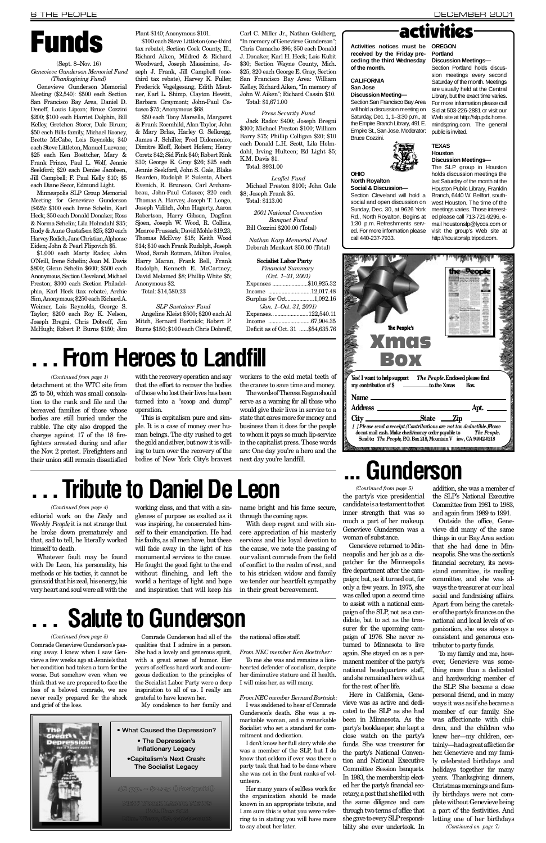#### (Sept. 8–Nov. 16) *Genevieve Gunderson Memorial Fund (Thanksgiving Fund)*

Genevieve Gunderson Memorial Meeting (\$2,540): \$500 each Section San Francisco Bay Area, Daniel D. Deneff, Louis Lipcon; Bruce Cozzini \$200; \$100 each Harriet Dolphin, Bill Kelley, Gretchen Storer, Dale Birum; \$50 each Bills family, Michael Rooney, Brette McCabe, Lois Reynolds; \$40 each Steve Littleton, Manuel Luevano; \$25 each Ken Boettcher, Mary & Frank Prince, Paul L. Wolf, Jennie Seekford; \$20 each Denise Jacobsen, Jill Campbell; F. Paul Kelly \$10; \$5 each Diane Secor, Edmund Light.

Minneapolis SLP Group Memorial Meeting for Genevieve Gunderson (\$425): \$100 each Irene Schelin, Karl Heck; \$50 each Donald Donaker, Ross & Norma Schelin; Lila Holmdahl \$35; Rudy & Aune Gustafson \$25; \$20 each Harvey Rodich, Jane Christian, Alphonse Eiden; John & Pearl Flipovich \$5.

\$1,000 each Marty Radov, John O'Neill, Irene Schelin; Joan M. Davis \$800; Glenn Schelin \$600; \$500 each Anonymous, Section Cleveland, Michael Preston; \$300 each Section Philadelphia, Karl Heck (tax rebate), Archie Sim, Anonymous; \$250 each Richard A. Weimer, Lois Reynolds, George S. Taylor; \$200 each Roy K. Nelson, Joseph Bregni, Chris Dobreff, Jim McHugh; Robert P. Burns \$150; Jim

Angeline Kleist \$500; \$200 each Al Mitch, Bernard Bortnick; Robert P. Burns \$150; \$100 each Chris Dobreff,

Carl C. Miller Jr., Nathan Goldberg, "In memory of Genevieve Gunderson"; Chris Camacho \$96; \$50 each Donald J. Donaker, Karl H. Heck; Lois Kubit \$30; Section Wayne County, Mich. \$25; \$20 each George E. Gray, Section San Francisco Bay Area: William Kelley, Richard Aiken, "In memory of John W. Aiken"; Richard Cassin \$10. Total: \$1,671.00 Plant \$140; Anonymous \$101. Carl C. Miller Jr., Nathan Goldberg,<br>
\$100 each Steve Littleton (one-third "In memory of Genevieve Gunderson";<br>
tax rebate), Section Cook County, Ill., Chris Camacho \$96; \$50 each Donald Activit

Plant \$140; Anonymous \$101. \$100 each Steve Littleton (one-third tax rebate), Section Cook County, Ill., Richard Aiken, Mildred & Richard Woodward, Joseph Massimino, Joseph J. Frank, Jill Campbell (onethird tax rebate), Harvey K. Fuller, Frederick Vogelgesang, Edith Mautner, Earl L. Shimp, Clayton Hewitt, Barbara Graymont; John-Paul Catusco \$75; Anonymous \$68.

> *Leaflet Fund* Michael Preston \$100; John Gale \$8; Joseph Frank \$5. Total: \$113.00

*2001 National Convention Banquet Fund* Bill Cozzini \$200.00 (Total)

*Nathan Karp Memorial Fund* Deborah Menkart \$50.00 (Total)

\$50 each Tony Marsella, Margaret & Frank Roemhild, Alan Taylor, John & Mary Brlas, Harley G. Selkregg, James J. Schiller, Fred Didomenico, Dimitre Eloff, Robert Hofem; Henry Coretz \$42; Sid Fink \$40; Robert Rink \$30; George E. Gray \$26; \$25 each Jennie Seekford, John S. Gale, Blake Bearden, Rudolph P. Sulenta, Albert Evenich, R. Brunson, Carl Archambeau, John-Paul Catusco; \$20 each Thomas A. Harvey, Joseph T. Longo, Joseph Viditch, John Hagerty, Aaron Robertson, Harry Gibson, Dagfinn Sjoen, Joseph W. Wood, R. Collins, Monroe Prussack; David Mohle \$19.23; Thomas McEvoy \$15; Keith Wood \$14; \$10 each Frank Rudolph, Joseph Wood, Sarah Rotman, Milton Poulos, Harry Maran, Frank Bell, Frank Rudolph, Kenneth E. McCartney; David Melamed \$8; Phillip White \$5; Anonymous \$2.

> I don't know her full story while she was a member of the SLP, but I do know that seldom if ever was there a party task that had to be done where she was not in the front ranks of volunteers

Total: \$14,580.23

*S L P Sustainer Fund*

editorial work on the *Daily* and *Weekly People*, it is not strange that he broke down prematurely and that, sad to tell, he literally worked himself to death.

#### *Press Security Fund*

Jack Radov \$400; Joseph Bregni \$300; Michael Preston \$100; William Barry \$75; Phillip Colligan \$20; \$10 each Donald L.H. Scott, Lila Holmdahl, Irving Hulteen; Ed Light \$5; K.M. Davis \$1.

Total: \$931.00

with the recovery operation and say that the effort to recover the bodies of those who lost their lives has been turned into a "scoop and dump" o peration.

#### **Socialist Labor Party**

*Financial Summary* 

| $(Oct. 1-31. 2001)$               |  |
|-----------------------------------|--|
| Expenses \$10,925.32              |  |
| Income 12,017.48                  |  |
| Surplus for Oct1,092.16           |  |
| $(Jan. 1-Oct. 31, 2001)$          |  |
| Expenses122,540.11                |  |
|                                   |  |
| Deficit as of Oct. 31 \$54,635.76 |  |

Activities notices must be OREGON **received by the Friday pre**ceding the third Wednesday Discussion Meetings**of the month. Portland** 

The words of Theresa Regan should serve as a warning for all those who would give their lives in service to a state that cares more for money and business than it does for the people to whom it pays so much lip-service in the capitalist press. Those words are: One day you're a hero and the next day you're landfill.

## **Tribute to Daniel De Leon**

#### **CALIFORNIA San Jose**

**OHIO** 

Saturday, Dec. 1, 1–3:30 p.m., at Web site at http://slp.pdx.home. the Empire Branch Library, 491 E. mindspring.com. The general Empire St., San Jose. Moderator: public is invited. Bruce Cozzini.



Comrade Gunderson had all of the qualities that I admire in a person. She had a lovely and generous spirit, with a great sense of humor. Her years of selfless hard work and courageous dedication to the principles of the Socialist Labor Party were a deep inspiration to all of us. I really am grateful to have known her.

The SLP group in Houston holds discussion meetings the last Saturday of the month at the Houston Public Library, Franklin Branch, 6440 W. Bellfort, southwest Houston. The time of the meetings varies. Those interested please call 713-721-9296, email houstonslp@lycos.com or visit the group's Web site at http://houstonslp.tripod.com.

My condolence to her family and



• What Caused the Depression?

• The Depression's Inflationary Legacy the national office staff.

*From NEC member Ken Boettcher:* To me she was and remains a lionhearted defender of socialism, despite her diminutive stature and ill health. I will miss her, as will many.

*From NEC member Bernard Bortnick:* I was saddened to hear of Comrade Gunderson's death. She was a remarkable woman, and a remarkable Socialist who set a standard for commitment and dedication.

• Capitalism's Next Crash: The Socialist Legacy

Genevieve returned to Minneapolis and her job as a dispatcher for the Minneapolis fire department after the campaign; but, as it turned out, for only a few years. In 1975, she was called upon a second time to assist with a national campaign of the SLP, not as a candidate, but to act as the treasurer for the upcoming campaign of 1976. She never returned to Minnesota to live again. She stayed on as a permanent member of the party's national headquarters staff, and she remained here with us for the rest of her life. Here in California, Genevieve was as active and dedicated to the SLP as she had been in Minnesota. As the party's bookkeeper, she kept a close watch on the party's funds. She was treasurer for the party's National Convention and National Executive Committee Session banquets. In 1983, the membership elected her the party's financial secretary, a post that she filled with the same diligence and care through two terms of office that she gave to every SLP responsibility she ever undertook. In

Her many years of selfless work for the organization should be made known in an appropriate tribute, and I am sure this is what you were referring to in stating you will have more to say about her later.

Whatever fault may be found with De Leon, his personality, his methods or his tactics, it cannot be gainsaid that his zeal, his energy, his very heart and soul were all with the

working class, and that with a sin-

gleness of purpose as exalted as it was inspiring, he consecrated himself to their emancipation. He had his faults, as all men have, but these will fade away in the light of his monumental services to the cause. He fought the good fight to the end without flinching, and left the world a heritage of light and hope

and inspiration that will keep his

name bright and his fame secure, through the coming ages.

With deep regret and with sincere appreciation of his masterly services and his loyal devotion to the cause, we note the passing of our valiant comrade from the field of conflict to the realm of rest, and to his stricken widow and family we tender our heartfelt sympathy in their great bereavement.

detachment at the WTC site from 25 to 50, which was small consolation to the rank and file and the bereaved families of those whose bodies are still buried under the rubble. The city also dropped the charges against 17 of the 18 firefighters arrested during and after the Nov. 2 protest. Firefighters and their union still remain dissatisfied

Comrade Genevieve Gunderson's passing away. I knew when I saw Genvieve a few weeks ago at Jennie's that her condition had taken a turn for the worse. But somehow even when we think that we are prepared to face the loss of a beloved comrade, we are never really prepared for the shock and grief of the loss. *(Continued from page 5)*

This is capitalism pure and simple. It is a case of money over human beings. The city rushed to get the gold and silver, but now it is willing to turn over the recovery of the bodies of New York City's bravest workers to the cold metal teeth of the cranes to save time and money.

*(Continued from page 4)*

*(Continued from page 1)*

**North Royalton Social & Discussion—** Section Cleveland will hold a social and open discussion on Sunday, Dec. 30, at 9626 York Rd., North Royalton. Begins at 1:30 p.m. Refreshments served. For more information please

**Discussion Meeting—** Section San Francisco Bay Area will hold a discussion meeting on Sid at 503-226-2881 or visit our

call 440-237-7933.

Section Portland holds discussion meetings every second Saturday of the month. Meetings are usually held at the Central Library, but the exact time varies. For more information please call







## **From Heroes to Landfill**

## **. . . Salute to Gunderson**

*RELATE ON AUTO A DISPLAY CAN BE A RELEASED AT LARCE CAN PRODUCT* 

48 pp. – \$2.25 (Postpaid)

NEW YORK LABOR NEWS P.O. Box 218 Mtn. View, CA 94042-0218

the party's vice presidential candidate is a testament to that inner strength that was so much a part of her makeup. Genevieve Gunderson was a woman of substance. *(Continued from page 5)*

addition, she was a member of the SLP's National Executive Committee from 1981 to 1983, and again from 1989 to 1991.

Outside the office, Genevieve did many of the same things in our Bay Area section that she had done in Minneapolis. She was the section's financial secretary, its newsstand committee, its mailing committee, and she was always the treasurer at our local social and fundraising affairs. Apart from being the caretaker of the party's finances on the national and local levels of organization, she was always a consistent and generous contributor to party funds. To my family and me, however, Genevieve was something more than a dedicated and hardworking member of the SLP. She became a close personal friend, and in many ways it was as if she became a member of our family. She was affectionate with children, and the children who knew her—my children, certainly—had a great affection for her. Genevieve and my family celebrated birthdays and holidays together for many years. Thanksgiving dinners, Christmas mornings and family birthdays were not complete without Genevieve being a part of the festivities. And letting one of her birthdays *(Continued on page 7)*

## **. . . G u n d e r s o n**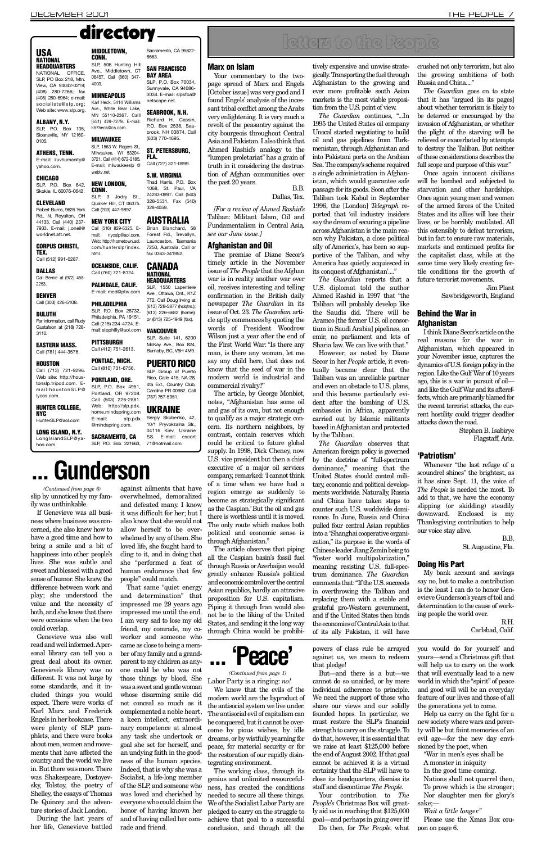### directory

Your commentary to the twopage spread of Marx and Engels [October issue] was very good and I found Engels' analysis of the incessant tribal conflict among the Arabs very enlightening. It is very much a revolt of the peasantry against the city bourgeois throughout Central Asia and Pakistan. I also think that Ahmed Rashid's analogy to the "lumpen proletariat" has a grain of truth in it considering the destruction of Afghan communities over the past 20 years.  $B.B.$ 

Dallas, Tex.

*[For a review of Ahmed Rashid's* Taliban: Militant Islam, Oil and Fundamentalism in Central Asia, *see our June issue.]*

The article, by George Monbiot, notes, "Afghanistan has some oil and gas of its own, but not enough to qualify as a major strategic concern. Its northern neighbors, by contrast, contain reserves which could be critical to future global supply. In 1998, Dick Cheney, now U.S. vice president but then a chief executive of a major oil services company, remarked: 'I cannot think of a time when we have had a region emerge as suddenly to become as strategically significant as the Caspian.' But the oil and gas there is worthless until it is moved. The only route which makes both political and economic sense is through Afghanistan."

#### Afghanistan and Oil

The premise of Diane Secor's timely article in the November issue of *The People* that the Afghan war is in reality another war over oil, receives interesting and telling confirmation in the British daily newspaper *The Guardian* in its issue of Oct. 23. The Guardian article aptly commences by quoting the words of President Woodrow Wilson just a year after the end of the First World War: "Is there any man, is there any woman, let me say any child here, that does not know that the seed of war in the modern world is industrial and commercial rivalry?"

tively expensive and unwise strategically. Transporting the fuel through Afghanistan to the growing and ever more profitable south Asian markets is the most viable proposition from the U.S. point of view.

*The Guardian* continues, "...In 1995 the United States oil company Unocal started negotiating to build oil and gas pipelines from Turkmenistan, through Afghanistan and into Pakistani ports on the Arabian Sea. The company's scheme required a single administration in Afghanistan, which would guarantee safe passage for its goods. Soon after the Taliban took Kabul in September 1996, the [London] *Telegraph* reported that 'oil industry insiders say the dream of securing a pipeline across Afghanistan is the main reason why Pakistan, a close political ally of America's, has been so supportive of the Taliban, and why America has quietly acquiesced in its conquest of Afghanistan'...."

*The Guardian* reports that a U.S. diplomat told the author Ahmed Rashid in 1997 that "the Taliban will probably develop like the Saudis did. There will be Aramco [the former U.S. oil consortium in Saudi Arabia] pipelines, an emir, no parliament and lots of Sharia law. We can live with that."

However, as noted by Diane Secor in her *People* article, it eventually became clear that the Taliban was an unreliable partner and even an obstacle to U.S. plans, and this became particularly evident after the bombing of U.S. embassies in Africa, apparently carried out by Islamic militants based in Afghanistan and protected by the Taliban.

The article observes that piping all the Caspian basin's fossil fuel through Russia or Azerbaijan would greatly enhance Russia's political and economic control over the central Asian republics, hardly an attracive proposition for U.S. capitalism. Piping it through Iran would also not be to the liking of the United

States, and sending it the long way through China would be prohibi-

#### Behind the War in Afghanistan

Stephen B. Isabirye Flagstaff, Ariz.

#### 'Patriotism'

 $R.H.$ Carlsbad, Calif.

#### USA **NATIONAL HEADQUARTERS**

Sloansville, NY 12160- 0105

E-mail: iluvhumanity@ vahoo com

SLP. P.O. Box 642, Skokie, IL 60076-0642.

Robert Burns, 9626 York Rd., N. Royalton, OH 44133. Call (440) 237- 7933. E-mail: *i.oneil@* worldnet.att.net.

#### CORPUS CHRISTI, TEX.

2253. DENVER Call (303) 426-5108.

For information, call Rudy Gustafson at (218) 728-  $3110.$ 

#### **HOUSTON** Call (713) 721-9296. Web site: http://houstonslp.tripod.com. Email: houston SLP@ lycos.com.

HUNTER COLLEGE, **NYC** 

HunterSLP@aol.com

Call (203) 447-9897. NEW YORK CITY Call (516) 829-5325. Email: nycslp@aol.com. Web: http://hometown.aol. com/hunterslp/index.

#### OCEANSIDE, CALIF. **CANADA NATIONAL**

Call (760) 721-8124. PALMDALE, CALIF. E-mail: med@ptw.com **PHILADELPHIA** 

> *The Guardian* observes that American foreign policy is governed by the doctrine of "full-spectrum dominance," meaning that the United States should control military, economic and political developments worldwide. Naturally, Russia and China have taken steps to counter such U.S. worldwide dominance. In June, Russia and China pulled four central Asian republics into a "Shanghai cooperative organization," its purpose in the words of Chinese leader Jiang Zemin being to "foster world multipolarization," meaning resisting U.S. full-spectrum dominance. The Guardian comments that: "If the U.S. succeeds in overthrowing the Taliban and replacing them with a stable and grateful pro-Western government, and if the United States then binds

**PITTSBURGH** Call (412) 751-2613.

PONTIAC, MICH. Call (810) 731-6756. PORTLAND, ORE. SLP, P.O. Box 4951, Portland, OR 97208. Call (503) 226-2881. Web: http://slp.pdx. home.mindspring.com **PUERTO RICO** 

#### E-mail: slp.pdx **UKRAINE** Sergiy Skubenko, 42,

10/1 Prvvokzalna Str., 04116 Kiev, Ukraine SS. E-mail: escort 71@hotmail.com.

Ave., Middletown, CT 06457. Call (860) 347- SAN FRANCISCO **BAY AREA** SLP, P.O. Box 70034,

**MINNEAPOLIS** Karl Heck, 5414 Williams Sunnyvale, CA 94086- 0034. E-mail: slpsfba@ netscape.net.

> the economies of Central Asia to that of its ally Pakistan, it will have

crushed not only terrorism, but also the growing ambitions of both Russia and China...."

*The Guardian* goes on to state that it has "argued [in its pages] about whether terrorism is likely to be deterred or encouraged by the invasion of Afghanistan, or whether the plight of the starving will be relieved or exacerbated by attempts to destroy the Taliban. But neither of these considerations describes the full scope and purpose of this war."

**HEADQUARTERS** SLP, 1550 Laperriere Ave., Ottawa, Ont., K1Z 7T2. Call Doug Irving at (613) 728-5877 (hdatrs.); (613) 226-6682 (home);

SLP, P.O. Box 28732, Philadelphia, PA 19151. Call (215) 234-4724. Email: slpphilly@aol.com or (613) 725-1949 (fax).

#### **VANCOUVER**

SLP, Suite 141, 6200 McKay Ave., Box 824, Burnaby, BC, V5H 4M9.

SLP Group of Puerto Rico, Calle 415, NA-28, 4ta Ext., Country Club, Carolina PR 00982. Call (787) 757-5951.

Once again innocent civilians will be bombed and subjected to starvation and other hardships. Once again young men and women of the armed forces of the United States and its allies will lose their lives, or be horribly mutilated. All this ostensibly to defeat terrorism, but in fact to ensure raw materials, markets and continued profits for the capitalist class, while at the same time very likely creating fertile conditions for the growth of future terrorist movements.

> Jim Plant Sawbridgeworth, England

Your contribution to *The People's* Christmas Box will greatly aid us in reaching that \$125,000 goal—and perhaps in going over it! Do then, for *The People*, what

Help us carry on the fight for a new society where wars and poverty will be but faint memories of an evil age—for the new day envisioned by the poet, when " War in men's eyes shall be A monster in iniquity In the good time coming. Nations shall not quarrel then, To prove which is the stronger; Nor slaughter men for glory's sake;—

I think Diane Secor's article on the real reasons for the war in Afghanistan, which appeared in your November issue, captures the dynamics of U.S. foreign policy in the region. Like the Gulf War of 10 years ago, this is a war in pursuit of oil and like the Gulf War and its aftereffects, which are primarily blamed for the recent terrorist attacks, the current hostility could trigger deadlier attacks down the road.

Whenever "the last refuge of a scoundrel shines" the brightest, as it has since Sept. 11, the voice of *The People* is needed the most. To add to that, we have the economy slipping (or skidding) steadily downward. Enclosed is my Thanksgiving contribution to help our voice stay alive.

**B.B.** 

St. Augustine, Fla.

#### Doing His Part

My bank account and savings say no, but to make a contribution is the least I can do to honor Genevieve Gunderson's years of toil and determination to the cause of working people the world over.

### SLP, P.O. Box 221663, against ailments that have overwhelmed, demoralized

## letters to the People

#### **Marx on Islam**

NATIONAL OFFICE, SLP, PO Box 218, Mtn. View, CA 94042-0218: (408) 280-7266; fax (408) 280-6964; e-mail: socialists@slp.org; Web site: www.slp.org.

#### ALBANY, N.Y.

#### ATHENS, TENN.

#### CHICAGO

#### CLEVELAND

Call (512) 991-0287. DALLAS Call Bernie at (972) 458-

### DULUTH

#### EASTERN MASS. Call (781) 444-3576.

LONG ISLAND, N.Y. Long I sland SLP@ya hoo.com.

NEW LONDON, CONN.

Ave., White Bear Lake, MN 55110-2367. Calll (651) 429-7279. E-mail: SEABROOK, N.H. Richard H. Cassin, P.O. Box 2538, Seabrook, NH 03874. Call (603) 770-4695.

E-mail: milwaukeeslp @ FLA. Call (727) 321-0999.

#### **S.W. VIRGINIA**

SLP. 3 Jodry St., Quaker Hill, CT 06375. Thad Harris, P.O. Box 1068, St. Paul, VA 24283-0997. Call (540) 328-5531. Fax (540) 3 28 - 40 59.

#### **AUSTRALIA**

@mindspring.com. SACRAMENTO, CA

SLP. P.O. Box 105, k57heck@cs.com. **MILWAUKEE** 

4003.

webty.net.

html.

Sacramento, CA 95822-

8663.

#### SLP, 1563 W. Rogers St., Milwaukee, WI 53204- 3721. Call (414) 672-2185. ST. PETERSBURG,

Brian Blanchard, 58 Forest Rd., Trevallyn, Launceston, Tasmania 7250, Australia. Call or fax 0363-341952.

We know that the evils of the

The working class, through its

powers of class rule be arrayed against us, we mean to redeem that pledge!

But—and there is a but—we cannot do so unaided, or by mere individual adherence to principle. We need the support of those who share our views and our solidly founded hopes. In particular, we must restore the SLP's financial strength to carry on the struggle. To do that, however, it is essential that we raise at least \$125,000 before the end of August 2002. If that goal cannot be achieved it is a virtual certainty that the SLP will have to close its headquarters, dismiss its staff and discontinue *The People*.

you would do for yourself and yours—send a Christmas gift that will help us to carry on the work that will eventually lead to a new world in which the "spirit" of peace and good will will be an everyday feature of our lives and those of all the generations yet to come.

*Wait a little longer. "*

Please use the Xmas Box coupon on page 6.



If Genevieve was all business where business was concerned, she also knew how to have a good time and how to bring a smile and a bit of happiness into other people's lives. She was subtle and sweet and blessed with a good sense of humor. She knew the difference between work and play; she understood the value and the necessity of both, and she knew that there

**MIDDLETOWN. CONN.** SLP, 506 Hunting Hill

were occasions when the two could overlap.

Genevieve was also well read and well informed. A personal library can tell you a great deal about its owner. Genevieve's library was no different. It was not large by some standards, and it included things you would expect. There were works of Karl Marx and Frederick Engels in her bookcase. There were plenty of SLP pamphlets, and there were books about men, women and movements that have affected the country and the world we live in. But there was more. There was Shakespeare, Dostoyevsky, Tolstoy, the poetry of Shelley, the essays of Thomas De Quincey and the adventure stories of Jack London.

During the last years of her life, Genevieve battled

slip by unnoticed by my family was unthinkable. *(Continued from page 6)*

and defeated many. I know it was difficult for her; but I also know that she would not allow herself to be overwhelmed by any of them. She loved life, she fought hard to cling to it, and in doing that she "performed a feat of human endurance that few people" could match.

Labor Party is a ringing: no! modern world are the byproduct of the antisocial system we live under. The antisocial evil of capitalism can be conquered, but it cannot be overcome by pious wishes, by idle dreams, or by wistfully yearning for peace, for material security or for the restoration of our rapidly disintegrating environment. genius and unlimited resourcefulness, has created the conditions needed to secure all these things. We of the Socialist Labor Party are pledged to carry on the struggle to achieve that goal to a successful conclusion, and though all the That same "quiet energy and determination" that impressed me 29 years ago impressed me until the end. I am very sad to lose my old friend, my comrade, my coworker and someone who came as close to being a member of my family and a grandparent to my children as anyone could be who was not those things by blood. She was a sweet and gentle woman whose disarming smile did not conceal so much as it complemented a noble heart, a keen intellect, extraordinary competence at almost any task she undertook or goal she set for herself, and an undying faith in the goodness of the human species. Indeed, that is why she was a Socialist, a life-long member of the SLP, and someone who was loved and cherished by everyone who could claim the honor of having known her and of having called her comrade and friend.

## **. . . G u n d e r s o n**